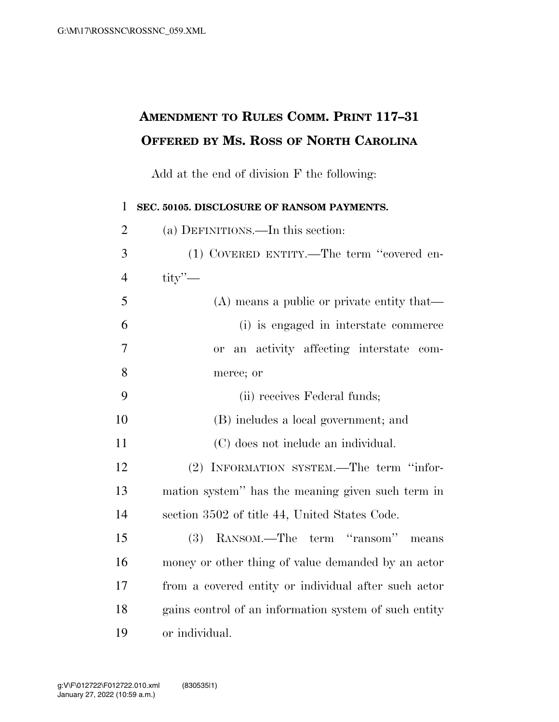## **AMENDMENT TO RULES COMM. PRINT 117–31 OFFERED BY MS. ROSS OF NORTH CAROLINA**

Add at the end of division F the following:

| $\mathbf{1}$   | SEC. 50105. DISCLOSURE OF RANSOM PAYMENTS.            |
|----------------|-------------------------------------------------------|
| $\overline{2}$ | (a) DEFINITIONS.—In this section:                     |
| 3              | (1) COVERED ENTITY.—The term "covered en-             |
| $\overline{4}$ | $\text{tity}$ $\sim$                                  |
| 5              | $(A)$ means a public or private entity that—          |
| 6              | (i) is engaged in interstate commerce                 |
| 7              | an activity affecting interstate<br>com-<br><b>or</b> |
| 8              | merce; or                                             |
| 9              | (ii) receives Federal funds;                          |
| 10             | (B) includes a local government; and                  |
| 11             | (C) does not include an individual.                   |
| 12             | (2) INFORMATION SYSTEM.—The term "infor-              |
| 13             | mation system" has the meaning given such term in     |
| 14             | section 3502 of title 44, United States Code.         |
| 15             | (3) RANSOM.—The term "ransom"<br>means                |
| 16             | money or other thing of value demanded by an actor    |
| 17             | from a covered entity or individual after such actor  |
| 18             | gains control of an information system of such entity |
| 19             | or individual.                                        |